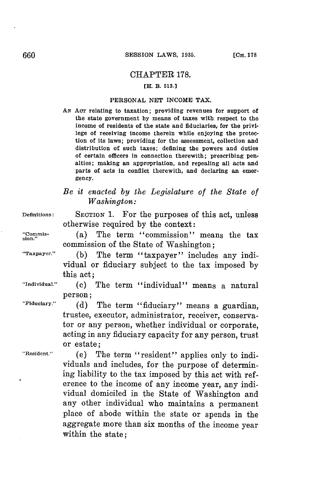## CHAPTER **178.**

## [H. B. **513.]**

#### **PERSONAL NET** INCOME TAX.

*AN* **Acr** relating to taxation; providing revenues for support of the state government **by** means of taxes with respect to the income of residents of the state and fiduciaries, for the privilege of receiving income therein while enjoying the protection of its laws; providing for the assessment, collection and distribution of such taxes; defining the powers and duties of certain officers in connection therewith; prescribing penalties; making an appropriation, and repealing all acts and parts of acts in conflict therewith, and declaring an emergency.

## *Be it enacted by the Legislature of the State of Washington:*

**Definitions:** SECTION 1. For the purposes of this act, unless otherwise required **by** the context:

"Commis-<br>sion." (a) The term "commission" means the tax commission of the State of Washington;

**"Taxpayer." (b)** The term "taxpayer" includes any individual or fiduciary subject to the tax imposed **by** this act;

**"Individual." (c)** The term "individual" means a natural person;

**"Fiduciary." (d)** The term "fiduciary" means a guardian, trustee, executor, administrator, receiver, conservaacting in any fiduciary capacity for any person, trust or estate;

**"Resident."** (e) The term "resident" applies only to individuals and includes, for the purpose of determining liability to the tax imposed **by** this act with reference to the income of any income year, any individual domiciled in the State of Washington and any other individual who maintains a permanent place of abode within the state or spends in the aggregate more than six months of the income year within the state;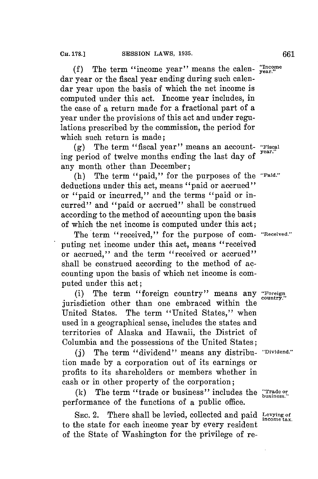**(f)** The term "income year" means the calen- **"Inone** dar year or the fiscal year ending during such calendar year upon the basis of which the net income is computed under this act. Income year includes, in the case **of** a return made for a fractional part of a year under the provisions of this act and under regulations prescribed **by** the commission, the period for which such return is made;

**(g)** The term "fiscal year" means an account- **"Fiscal** ing period of twelve months ending the last day of any month other than December;

(h) The term "paid," for the purposes of the **"Paid."** deductions under this act, means "paid or accrued" or "paid or incurred," and the terms "paid or incurred" and "paid or accrued" shall be construed according to the method of accounting upon the basis of which the net income is computed under this act;

The term "received," for the purpose of com- **"Received."** puting net income under this act, means "received or accrued," and the term "received or accrued" shall be construed according to the method of accounting upon the basis of which net income is computed under this act;

(i) The term "foreign country" means any **"Foreign** jurisdiction other than one embraced within the United States. The term "United States," when used in a geographical sense, includes the states and territories of Alaska and Hawaii, the District of Columbia and the possessions of the United States;

**(j)** The term "dividend" means any distribu- **"Dividend."** tion made **by** a corporation out of its earnings or profits to its shareholders or members whether in cash or in other property of the corporation;

**(k)** The term "trade or business" includes the **"Trade o** performance of the functions of a public office.

SEc. 2. There shall be levied, collected and paid **levying of income tax.** to the state for each income year **by** every resident of the State of Washington for the privilege of re-

**country."**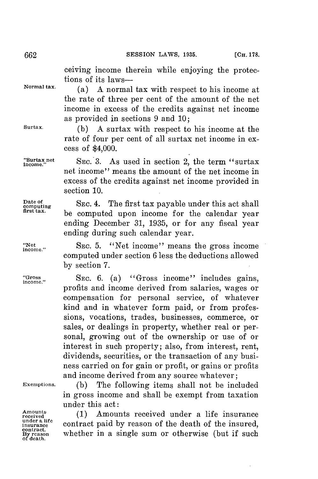ceiving income therein while enjoying the protections of its laws-

**Normal tax.** (a) **A** normal tax with respect to his income at the rate of three per cent of the amount of the net income in excess of the credits against net income as provided in sections **9** and **10;**

**Surtax. (b) A** surtax with respect to his income at the rate of four per cent of all surtax net income in excess of \$4,000.

"Surtax net SEC. 3. As used in section 2, the term "surtax" net income" means the amount of the net income in excess of the credits against net income provided in section **10.**

Date of **SEC. 4.** The first tax payable under this act shall **First tax. first tax payable under this act shall**<br>first tax. be computed upon income for the calendar year ending December **31, 1935,** or for any fiscal year ending during such calendar year.

"Net we see SEC. 5. "Net income" means the gross income." computed under section **6** less the deductions allowed **by** section **7.**

"Gross" SEC. 6. (a) "Gross income" includes gains, profits and income derived from salaries, wages or compensation for personal service, of whatever kind and in whatever form paid, or from professions, vocations, trades, businesses, commerce, or sales, or dealings in property, whether real or personal, growing out of the ownership or use of or interest in such property; also, from interest, rent, dividends, securities, or the transaction of any business carried on for gain or profit, or gains or profits and income derived from any source whatever;

**Exemptions. (b)** The following items shall not **be** included in gross income and shall be exempt from taxation under this act:

**rmeins (1)** Amounts received under a life insurance **insurance** contract paid **by** reason of the death of the insured, **contract.** whether in a single sum or otherwise (but if such

**under a life of death.**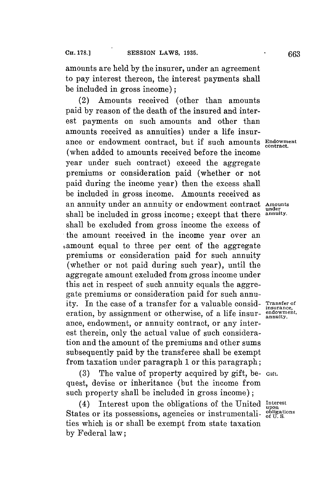amounts are held **by** the insurer, under an agreement to pay interest thereon, the interest payments shall be included in gross income);

(2) Amounts received (other than amounts paid **by** reason of the death of the insured and interest payments on such amounts and other than amounts received as annuities) under a life insurance or endowment contract, but if such amounts Endowment. (when added to amounts received before the income year under such contract) exceed the aggregate premiums or consideration paid (whether or not paid during the income year) then the excess shall be included in gross income. Amounts received as an annuity under an annuity or endowment contract **Amounts** shall be included in gross income; except that there shall be excluded from gross income the excess of the amount received in the income year over an ,amount equal to three per cent of the aggregate premiums or consideration paid for such annuity (whether or not paid during such year), until the aggregate amount excluded from gross income under this act in respect of such annuity equals the aggregate premiums or consideration paid for such annuity. In the case of a transfer for a valuable consideration, by assignment or otherwise, of a life insurance, endowment, or annuity contract, or any interest therein, only the actual value of such consideration and the amount of the premiums and other sums subsequently paid **by** the transferee shall be exempt from taxation under paragraph 1 or this paragraph;

**(3)** The value of property acquired **by** gift, be- **Gift.** quest, devise or inheritance (but the income from such property shall be included in gross income);

(4) Interest upon the obligations of the United **Interest** (4) Interest upon the obligations of the Office theories States or its possessions, agencies or instrumentali-  $\frac{\text{obligations}}{\text{of U.S.}}$ ties which is or shall be exempt from state taxation **by** Federal law;

under<br>annuity.

**Transfer of**<br>insurance,<br>endowment,<br>annuity.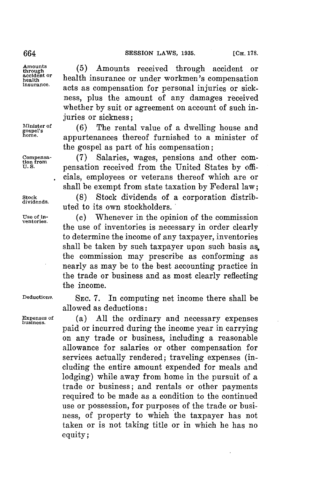**Amounts**

**through (5)** Amounts received through accident or accident or **health insurance or under workmen's compensation**<br> *insurance*. acts as compensation for personal injuries or sickness, plus the amount of any damages received whether **by** suit or agreement on account of such injuries or sickness;

Minister of (6) The rental value of a dwelling house and gospel's<br>home. **home.** appurtenances thereof furnished to a minister of the gospel as part of his compensation;

Compensa- (7) Salaries, wages, pensions and other com-<br>
U.S. Pensation received from the United States by offpensation received from the United States by officials, employees or veterans thereof which are or shall be exempt from state taxation **by** Federal law;

Stock (8) Stock dividends of a corporation distrib-<br>dividends,<br>uted to its own stockholders.

**Use of in-** (c) Whenever in the opinion of the commission **ventories.** the use of inventories is necessary in order clearly to determine the income of any taxpayer, inventories shall be taken **by** such taxpayer upon such basis as, the commission may prescribe as conforming as nearly as may be to the best accounting practice in the trade or business and as most clearly reflecting the income.

**Deductions. SEC. 7.** In computing net income there shall be allowed as deductions:

**Expenses of** (a) **All** the ordinary and necessary expenses **business.** paid or incurred during the income year in carrying on any trade or business, including a reasonable allowance for salaries or other compensation for services actually rendered; traveling expenses (including the entire amount expended for meals and lodging) while away from home in the pursuit of a trade or business; and rentals or other payments required to be made as a condition to the continued use or possession, for purposes of the trade or business, of property to which the taxpayer has not taken or is not taking title or in which he has no equity;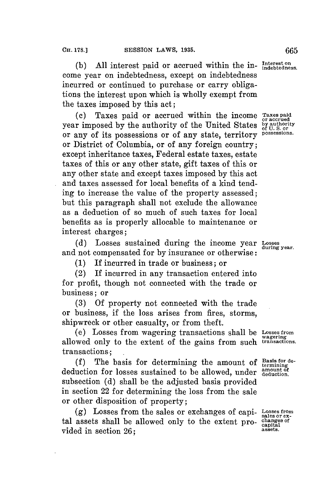(b) All interest paid or accrued within the in-Interest on come year on indebtedness, except on indebtedness incurred or continued to purchase or carry obligations the interest upon which is wholly exempt from the taxes imposed **by** this act;

(c) Taxes paid or accrued within the income Taxes paid r imposed by the authority of the United States by authority any of its possessions or of any state territory possessions. year imposed by the authority of the United States or any of its possessions or of any state, territory **possessions.** or District of Columbia, or of any foreign country; except inheritance taxes, Federal estate taxes, estate taxes of this or any other state, gift taxes of this or any other state and except taxes imposed **by** this act and taxes assessed for local benefits of a kind tending to increase the value of the property assessed; but this paragraph shall not exclude the allowance as a deduction of so much of such taxes **for** local benefits as is properly allocable to maintenance or interest charges;

**(d)** Losses sustained during the income year Losses and not compensated for **by** insurance or otherwise:

**(1)** If incurred in trade or business; or

(2) If incurred in any transaction entered into for profit, though not connected with the trade or business; or

**(3) Of** property not connected with the trade or business, if the loss arises from fires, storms, shipwreck or other casualty, or from theft.

(e) Losses from wagering transactions shall be **Losses from wagering** allowed only to the extent of the gains from such **transactions.** transactions;

(f) The basis for determining the amount of  $\frac{\text{Basis for de}}{\text{terminer}}$ deduction for losses sustained to be allowed, under anount of subsection **(d)** shall be the adjusted basis provided in section 22 for determining the loss from the sale or other disposition of property;

**(g)** Losses from the sales or exchanges of capi- **Losses from sales or ex**tal assets shall be allowed only to the extent pro- **canges of** vided in section 26:

**capital**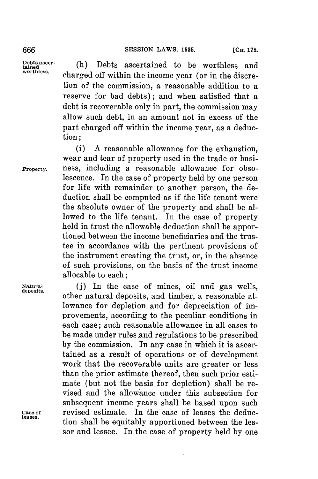**bt ascer-** (h) Debts ascertained to be worthless and charged off within the income year (or in the discretion of the commission, a reasonable addition to a reserve for bad debts); and when satisfied that a debt is recoverable only in part, the commission may allow such debt, in an amount not in excess of the part charged off within the income year, as a deduction;

(i) **A** reasonable allowance for the exhaustion, wear and tear of property used in the trade or busi-**Property.** ness, including a reasonable allowance for obsolescence. In the case of property held **by** one person for life with remainder to another person, the deduction shall be computed as if the life tenant were the absolute owner of the property and shall be allowed to the life tenant. In the case of property held in trust the allowable deduction shall be apportioned between the income beneficiaries and the trustee in accordance with the pertinent provisions of the instrument creating the trust, or, in the absence of such provisions, on the basis of the trust income allocable to each;

**Natural (j)** In the case of mines, oil and gas wells, **deposits,** other natural deposits, and timber, a reasonable allowance for depletion and for depreciation of improvements, according to the peculiar conditions in each case; such reasonable allowance in all cases to be made under rules and regulations to be prescribed **by** the commission. In any case in which it is ascertained as a result of operations or of development work that the recoverable units are greater or less than the prior estimate thereof, then such prior estimate (but not the basis for depletion) shall be revised and the allowance under this subsection for subsequent income years shall be based upon such **Case of** revised estimate. In the case of leases the deduc- **leases.** tion shall be equitably apportioned between the lessor and lessee. In the case of property held **by** one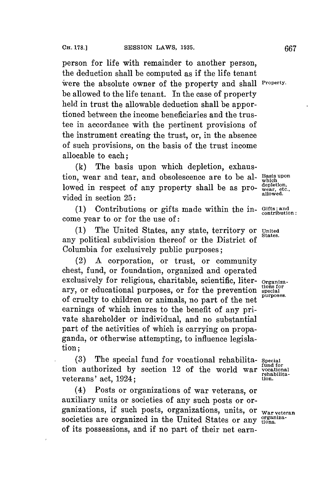person **for** life with remainder to another person, the deduction shall be computed as if the life tenant ivere the absolute owner of the property and shall **Property.** be allowed to the life tenant. In the case of property held in trust the allowable deduction shall be apportioned between the income beneficiaries and the trustee in accordance with the pertinent provisions of the instrument creating the trust, or, in the absence of such provisions, on the basis of the trust income allocable to each;

**(k)** The basis upon which depletion, exhaustion, wear and tear, and obsolescence are to be al- **Bais upon** lowed in respect of any property shall be as pro-  $\frac{depletion}{\text{value}}$ , vided in section  $25$ :

**(1)** Contributions or gifts made within the **in- Gifts; and contribution:** come year to or **for** the use **of:**

**(1)** The United States, any state, territory or **United** any political subdivision thereof or the District of Columbia for exclusively public purposes;

(2) **A** corporation, or trust, or community chest, fund, or foundation, organized and operated exclusively for religious, charitable, scientific, liter- **Organiza**ary, or educational purposes, or for the prevention special of cruelty to children or animals, no part of the net earnings of which inures to the benefit of any private shareholder or individual, and no substantial part of the activities of which is carrying on propaganda, or otherwise attempting, to influence legislation;

The special fund for vocational rehabilita- Special<br>horized by section 12 of the world war vecational tion authorized by section 12 of the world war vocational veterans' act, 1924; **there** is the vertex of  $\alpha$  is the vertex of  $\alpha$ .

(4) Posts or organizations of war veterans, or auxiliary units or societies of any such posts or organizations, if such posts, organizations, units, or **war veteran** societies are organized in the United States or any organizaof its possessions, and if no part of their net earn-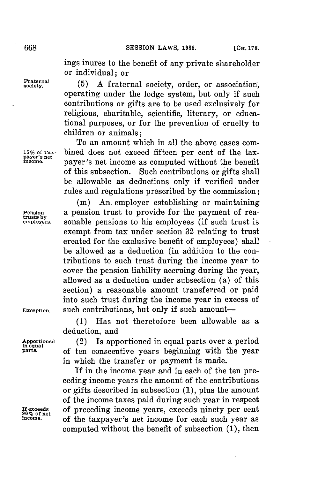ings inures to the benefit of any private shareholder or individual; or

Fraternal (5) A fraternal society, order, or association, operating under the lodge system, but only if such contributions or gifts are to be used exclusively for religious, charitable, scientific, literary, or educational purposes, or for the prevention of cruelty to children or animals;

To an amount which in all the above cases com-**15% of Tax-** bined does not exceed fifteen per cent of the tax- **payer's net income.** payer's net income as computed without the benefit of this subsection. Such contributions or gifts shall be allowable as deductions only if verified under rules and regulations prescribed **by** the commission;

**(in)** An. employer establishing or maintaining **Pension** a pension trust to provide for the payment of rea**trusts by employers.** sonable pensions to his employees (if such trust is exempt from tax under section **32** relating to trust created for the exclusive benefit of employees) shall be allowed as a deduction (in addition to the contributions to such trust during the income year to cover the pension liability accruing during the year, allowed as a deduction under subsection (a) of this section) a reasonable amount transferred or paid into such trust during the income year in excess of Exception. such contributions, but only if such amount-

> **(1)** Has not theretofore been allowable as a deduction, and

**Apportioned** (2) Is apportioned in equal parts over a period **in equal** of ten consecutive years beginning with the year in which the transfer or payment is made.

If in the income year and in each of the ten preceding income years the amount of the contributions or gifts described in subsection **(1),** plus the amount of the income taxes paid during such year in respect **Ifexceeds** of preceding income years, exceeds ninety per cent **90% of net income.** of the taxpayer's net income for each such year as computed without the benefit of subsection **(1),** then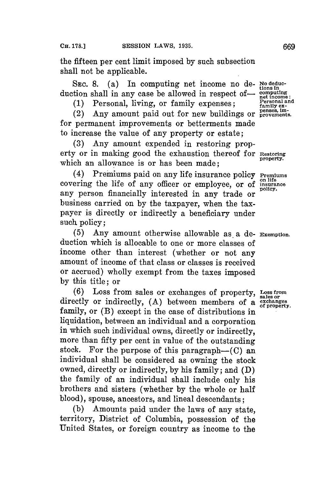the fifteen per cent limit imposed **by** such subsection shall not be applicable.

SEC. 8. (a) In computing net income no de- No deduc-<br>duction shall in any case be allowed in respect of-  $\frac{\text{commuting}}{\text{net income}}$ .

**Personal and (1)** Personal, living, or family expenses; **family ex-**

 $(2)$  Any amount paid out for new buildings or provements. for permanent improvements or betterments made to increase the value of any property or estate;

**(3)** Any amount expended in restoring property or in making good the exhaustion thereof for **Restoring** which an allowance is or has been made:

(4) Premiums paid on any life insurance policy **Premiums** covering the life of any officer or employee, or of **insurance** any person financially interested in any trade or business carried on **by** the taxpayer, when the taxpayer is directly or indirectly a beneficiary under such policy;

**(5)** Any amount otherwise allowable as a de- **Exemption.** duction which is allocable to one or more classes **of** income other than interest (whether or not any amount of income of that class or classes is received or accrued) wholly exempt from the taxes imposed **by** this title; or

**(6)** Loss from sales or exchanges of property, Loss from directly or indirectly, **(A)** between members of a **exchanges** family, or (B) except in the case of distributions in liquidation, between an individual and a corporation in which such individual owns, directly or indirectly, more than fifty per cent in value of the outstanding<br>stock. For the purpose of this paragraph—(C) an For the purpose of this paragraph- $(C)$  an individual shall be considered as owning the stock owned, directly or indirectly, **by** his family; and **(D)** the family of an individual shall include only his brothers and sisters (whether **by** the whole or half blood), spouse, ancestors, and lineal descendants;

**(b)** Amounts paid under the laws of any state, territory, District of Columbia, possession of the United States, or foreign country as income to the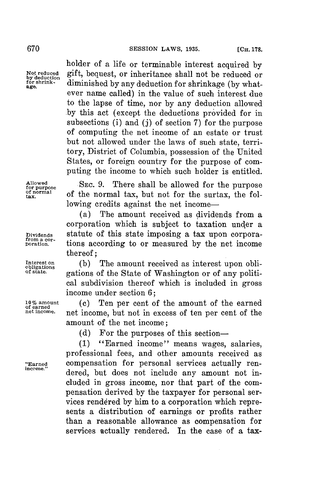holder of a life or terminable interest acquired **by** Not reduced gift, bequest, or inheritance shall not be reduced or<br>by deduction<br>for shrink-<br>shrinks diminished by any deduction for shrinkage (by what **for shrink-** diminished **by** any deduction for shrinkage **(by** what- **age.** ever name called) in the value of such interest due to the lapse of time, nor **by** any deduction allowed **.by** this act (except the deductions provided for in subsections (i) and **(j)** of section **7)** for the purpose of computing the net income of an estate or trust but not allowed under the laws of such state, territory, District of Columbia, possession of the United States, or foreign country for the purpose of computing the income to which such holder is entitled.

**Allowed for purpose of normal**

**SEC. 9.** There shall be allowed for the purpose **tax** of the normal tax, but not for the surtax, the following credits against the net income-

(a) The amount received as dividends from a corporation which is subject to taxation under a **Dividends** statute of this state imposing a tax upon corpora- **from a cor- poration.** tions according to or measured **by** the net income thereof;

Interest on (b) Interest on (b) The amount received as interest upon obli-<br>
of state...<br>
of state... contions of the State of Washington or of any politi**of state.** gations of the State of Washington or of any political subdivision thereof which is included in gross income under section **6;**

**10% amount (c)** Ten per cent of the amount of the earned **of earned net income.** net income, but not in excess of ten per cent of the amount of the net income;

**(d)** For the purposes of this section-

**(1)** "Earned income" means wages, salaries, professional fees, and other amounts received as **"Earned** compensation for personal services actually rendered, but does not include any amount not included in gross income, nor that part of the compensation derived **by** the taxpayer for personal services rendered by him to a corporation which represents a distribution of earnings or profits rather than a reasonable allowance as compensation for services actually rendered. In the case of a tax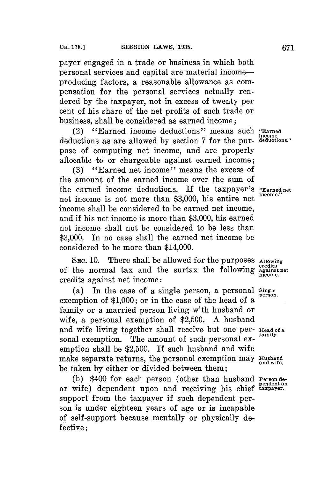payer engaged in a trade or business in which both personal services and capital are material incomeproducing factors, a reasonable allowance as compensation for the personal services actually rendered **by** the taxpayer, not in excess of twenty per cent of his share of the net profits of such trade or

business, shall be considered as earned income;

(2) "Earned income deductions" means such **"Earned** deductions as are allowed by section 7 for the purpose of computing net income, and are properly allocable to or chargeable against earned income;

**(3)** "Earned net income" means the excess of the amount of the earned income over the sum of the earned income deductions. If the taxpayer's **"Earned net** net income is not more than **\$3,000,** his entire net **income.** income shall be considered to be earned net income, and if his net income is more than **\$3,000,** his earned net income shall not be considered to be less than **\$3,000.** In no case shall the earned net income be considered to be more than \$14,000.

**SEC. 10.** There shall be allowed for the purposes **Allowing credits** of the normal tax and the surtax the following **against net** credits against net income:

(a) In the case of a single person, a personal **single** exemption of **\$1,000;** or in the case of the head of a family or a married person living with husband or wife, a personal exemption of **\$2,500. A** husband and wife living together shall receive but one per- Head of a sonal exemption. The amount of such personal exemption shall be **\$2,500.** If such husband and wife make separate returns, the personal exemption may **Husband and wife.** be taken **by** either or divided between them;

**(b)** \$400 for each person (other than husband **Person de**or wife) dependent upon and receiving his chief **taxpayer.** support from the taxpayer if such dependent person is under eighteen years of age or is incapable of self-support because mentally or physically defective;

income<br>deductions."

**person.**

pendent on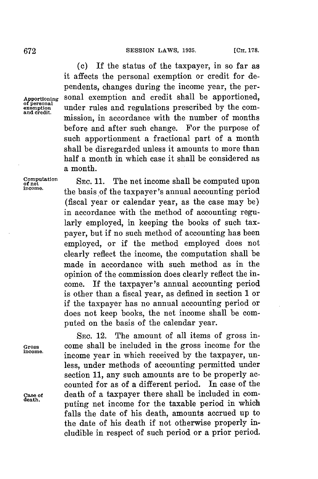**(c) If** the status of the taxpayer, in so far as it affects the personal exemption or credit for dependents, changes during the income year, the per-**Apportioning** sonal exemption and credit shall be apportioned, **of personal tion** under rules and regulations prescribed **by** the commission, in accordance with the number of months before and after such change. For the purpose of such apportionment a fractional part of a month shall be disregarded unless it amounts to more than half a month in which case it shall be considered as a month.

**Computation** SEC. 11. The net income shall be computed upon **income.** the basis of the taxpayer's annual accounting period (fiscal year or calendar year, as the case may be) in accordance with the method of accounting regularly employed, in keeping the books of such taxpayer, but if no such method of accounting has been employed, or if the method employed does not clearly reflect the income, the computation shall be made in accordance with such method as in the opinion of the commission does clearly reflect the income. If the taxpayer's annual accounting period is other than a fiscal year, as defined in section 1 or if the taxpayer has no annual accounting period or does not keep books, the net income shall be computed on the basis of the calendar year.

SEC. 12. The amount of all items of gross in-**Gross** come shall be included in the gross income for the income year in which received by the taxpayer, unless, under methods of accounting permitted under section 11, any such amounts are to be properly accounted for as of a different period. In case of the **case of** death of a taxpayer there shall be included in computing net income for the taxable period in which falls the date of his death, amounts accrued up to the date of his death if not otherwise properly includible in respect of such period or a prior period.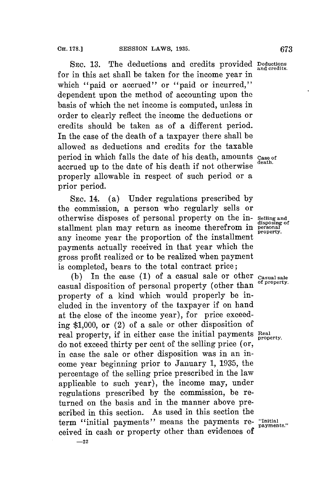**SEC. 13.** The deductions and credits provided **Deductions** for in this act shall be taken for the income year in which "paid or accrued" or "paid or incurred," dependent upon the method of accounting upon the basis of which the net income is computed, unless in order to clearly reflect the income the deductions or credits should be taken as of a different period. In the case of the death of a taxpayer there shall be allowed as deductions and credits for the taxable period in which falls the date of his death, amounts case of accrued up to the date of his death if not otherwise properly allowable in respect of such period or a prior period.

**SEC.** 14. (a) Under regulations prescribed **by** the commission, a person who regularly sells or otherwise disposes of personal property on the in- **Selling and disposing of** stallment plan may return as income therefrom in **personal** any income year the proportion of the installment payments actually received in that year which the gross profit realized or to be realized when payment is completed, bears to the total contract price;

**(b)** In the case **(1)** of a casual sale or other **Casual sale** casual disposition of personal property (other than property of a kind which would properly be included in the inventory of the taxpayer if on hand at the close of the income year), for price exceeding **\$1,000,** or (2) of a sale or other disposition of real property, if in either case the initial payments **Real** do not exceed thirty per cent of the selling price (or, in case the sale or other disposition was in an income year beginning prior to January **1, 1935,** the percentage of the selling price prescribed in the law applicable to such year), the income may, under regulations prescribed **by** the commission, be returned on the basis and in the manner above prescribed in this section. As used in this section the term "initial payments" means the payments re- "Initial payments." ceived in cash or property other than evidences of **-22**

and credits.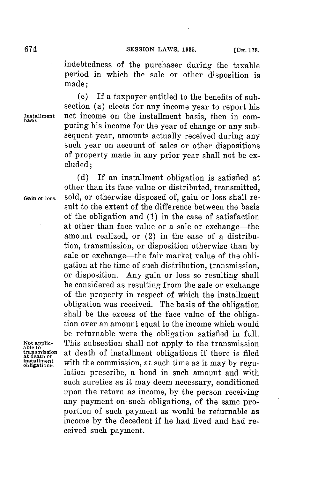indebtedness of the purchaser during the taxable period in which the sale or other disposition is made;

**(c)** If a taxpayer entitled to the benefits of subsection (a) elects for any income year to report his **Instalment** net income on the installment basis, then in computing his income **for** the year of change or any subsequent year, amounts actually received during any such year on account of sales or other dispositions of property made in any prior year shall not be excluded;

**(d) If** an installment obligation is satisfied at

Not applic-<br>able to<br>transmission **at death of**

other than its face value or distributed, transmitted, **Gain or** loss. sold, or otherwise disposed of, gain or loss shall result to the extent of the difference between the basis of the obligation and **(1)** in the case of satisfaction at other than face value or a sale or exchange—the amount realized, or (2) in the case of a distribution, transmission, or disposition otherwise than **by** sale or exchange—the fair market value of the obligation at the time of such distribution, transmission, or disposition. Any gain or loss so resulting shall be considered as resulting from the sale or exchange of the property in respect of which the installment obligation was received. The basis of the obligation shall be the excess of the face value of the obligation over an amount equal to the income which would be returnable were the obligation satisfied in full. This subsection shall not apply to the transmission at death of installment obligations if there is filed with the commission, at such time as it may by regulation prescribe, a bond in such amount and with such sureties as it may deem necessary, conditioned upon the return as income, **by** the person receiving any payment on such obligations, of the same proportion of such payment as would be returnable as income **by** the decedent if he had lived and had received such payment.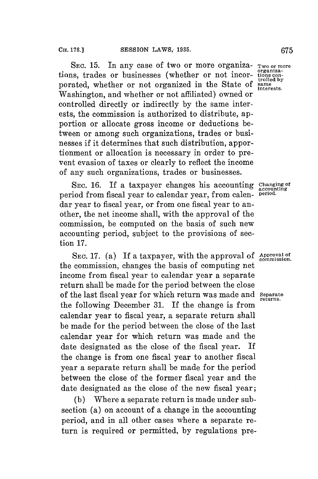SEC. 15. In any case of two or more organiza- Two or more<br>ns. trades or businesses (whether or not incor- tions contions, trades or businesses (whether or not incor-<br>
norated, whether or not organized in the State of same porated, whether or not organized in the State of **same** Washington, and whether or not affiliated) owned or controlled directly or indirectly **by** the same interests, the commission is authorized to distribute, apportion or allocate gross income or deductions between or among such organizations, trades or businesses if it determines that such distribution, apportionment or allocation is necessary in order to prevent evasion of taxes or clearly to reflect the income of any such organizations, trades or businesses.

SEC. 16. If a taxpayer changes his accounting Changing of<br>riod from fiscal vear to calendar vear, from caleng period. period from fiscal year to calendar year, from calen- **period.** dar year to fiscal year, or from one fiscal year to another, the net income shall, with the approval of the commission, be computed on the basis of such new accounting period, subject to the provisions of section **17.**

SEC. 17. (a) If a taxpayer, with the approval of Approval of the commission, changes the basis of computing net income from fiscal year to calendar year a separate return shall be made **for** the period between the close of the last fiscal year **for** which return was made and **Separate returns.** the following December **31.** If the change is from calendar year to fiscal year, a separate return shall be made for the period between the close of the last calendar year for which return was made and the date designated as the close of the fiscal year. If the change is from one fiscal year to another fiscal year a separate return shall be made for the period between the close of the former fiscal year and the date designated as the close of the new fiscal year;

**(b)** Where a separate return is made under subsection (a) on account of a change in the accounting period, and in all other cases where a separate return is required or permitted, **by** regulations pre-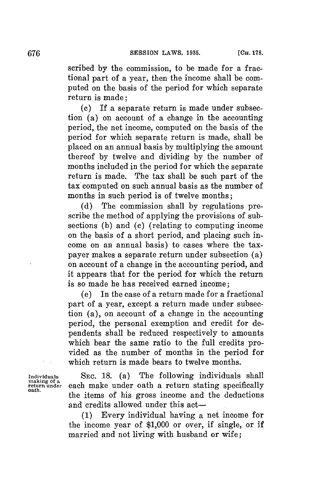scribed **by** the commission, to be made for a fractional part of a year, then the income shall be computed on the basis of the period for which separate return is made;

**(c) If** a separate return is made under subsection (a) on account of a change in the accounting period, the net income, computed on the basis of the period for which separate return is made, shall be placed on an annual basis **by** multiplying the amount thereof **by** twelve and dividing **by** the number of months included in the period **for** which the separate return is made. The tax shall be such part of the tax computed on such annual basis as the number of months in such period is of twelve months;

**(d)** The commission shall **by** regulations prescribe the method of applying the provisions of subsections **(b)** and **(c)** (relating to computing income on the basis of a short period, and placing such income on an annual basis) to cases where the taxpayer makes a separate return under subsection (a) on account of a change in the accounting period, and it appears that for the period for which the return is so made he has received earned income;

(e) In the case of a return made **for** a fractional part of a year, except a return made under subsection (a), on account of a change in the accounting period, the personal exemption and credit for dependents shall be reduced respectively to amounts which bear the same ratio to the full credits provided as the number of months in the period **for** which return is made bears to twelve months.

Individuals **SEC. 18.** (a) The following individuals shall making of a<br>return under each make under oath a return stating specifically making of a **return under** each make under oath a return stating specifically **oath.** the items of his gross income and the deductions and credits allowed under this act-

> **(1)** Every individual having a net income for the income year of **\$1,000** or over, if single, or if married and not living with husband or wife;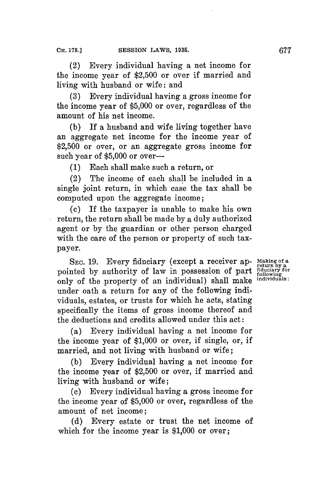(2) Every individual having a net income for the income year of **\$2,500** or over if married and living with husband or wife: and

**(3)** Every individual having a gross income for the income year of **\$5,000** or over, regardless of the amount of his net income.

**(b) If** a husband and wife living together have an aggregate net income for the income year of **\$2,500** or over, or an aggregate gross income for such year of \$5,000 or over-

**(1)** Each shall make such a return, or

(2) The income of each shall be included in a single joint return, in which case the tax shall be computed upon the aggregate income;

(c) If the taxpayer is unable to make his own return, the return shall be made **by** a duly authorized agent or **by** the guardian or other person charged with the care of the person or property of such taxpayer.

**SEc. 19.** Every fiduciary (except a receiver ap- **Making of a return by a** pointed by authority of law in possession of part following to only of the property of an individual) shall make **individuals:** under oath a return for any of the following individuals, estates, or trusts for which he acts, stating specifically the items of gross income thereof and the deductions and credits allowed under this act:

(a) Every individual having a net income for the income year of **\$1,000** or over, if single, or, if married, and not living with husband or wife;

**(b)** Every individual having a net income **for** the income year of **\$2,500** or over, if married and living with husband or wife;

**(c)** Every individual having a gross income for the income year of **\$5,000** or over, regardless of the amount of net income;

**(d)** Every estate or trust the net income of which for the income year is **\$1,000** or over;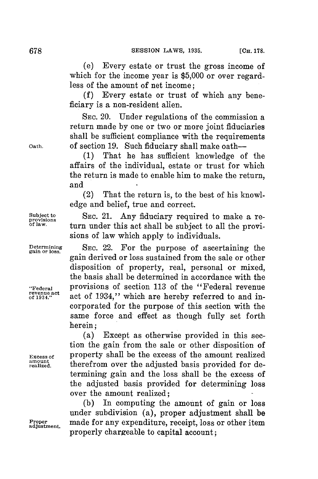(e) Every estate or trust the gross income of which for the income year is \$5,000 or over regardless of the amount of net income;

**(f)** Every estate or trust of which any beneficiary is a non-resident alien.

**SEc.** 20. Under regulations of the commission a return made **by** one or two or more joint fiduciaries shall be sufficient compliance with the requirements **Oath.** of section **19.** Such fiduciary shall make oath-

> **(1)** That he has sufficient knowledge of the affairs of the individual, estate or trust **for** which the return is made to enable him to make the return, and

> (2) That the return is, to the best of his knowledge and belief, true and correct.

Subject to SEC. 21. Any fiduciary required to make a re<u>provisions</u><br>
of law. turn under this act shall be subject to all the provisions of law which apply to individuals.

**Determining SEc.** 22. For the purpose of ascertaining the gain derived or loss sustained from the sale or other disposition of property, real, personal or mixed, the basis shall be determined in accordance with the **"Federal** provisions of section **113** of the "Federal revenue **revenue act** act of 1934," which are hereby referred to and incorporated for the purpose of this section with the same force and effect as though fully set forth herein;

(a) Except as otherwise provided in this section the gain from the sale or other disposition of **Excess of** property shall be the excess of the amount realized therefrom over the adjusted basis provided for determining gain and the loss shall be the excess of the adjusted basis provided for determining loss over the amount realized;

**(b)** In computing the amount of gain or loss under subdivision (a), proper adjustment shall be **Proper** made **for** any expenditure, receipt, loss or other item properly chargeable to capital account;

amount<br>realized.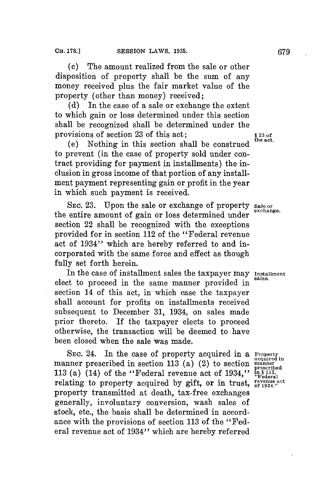**(c)** The amount realized from the sale or other disposition of property shall be the sum of any money received plus the fair market value of the property (other than money) received;

**(d)** In the case of a sale or exchange the extent to which gain or loss determined under this section shall be recognized shall be determined under the provisions of section **23** of this act; **§ 23 of**

(e) Nothing in this section shall be construed to prevent (in the case of property sold under contract providing for payment in installments) the inclusion in gross income of that portion of any installment payment representing gain or profit in the year in which such payment is received.

SEC. 23. Upon the sale or exchange of property Sale or the entire amount of gain or loss determined under **exchange.** section 22 shall be recognized with the exceptions provided for in section 112 of the "Federal revenue act of 1934" which are hereby referred to and incorporated with the same force and effect as though fully set forth herein.

In the case of installment sales the taxpayer may **Installment** elect to proceed in the same manner provided in section 14 of this act, in which case the taxpayer shall account for profits on installments received subsequent to December **31,** 1934, on sales made prior thereto. If the taxpayer elects to proceed otherwise, the transaction will be deemed to have been closed when the sale was made.

SEC. 24. In the case of property acquired in a **Property** manner prescribed in section **113** (a) (2) to section **manner** 113 (a) (14) of the "Federal revenue act of 1934,"  $\lim_{x\to a}$  **s** 113, relating to property acquired by gift, or in trust, revenue act property transmitted at death, tax-free exchanges generally, involuntary conversion, wash sales of stock, etc., the basis shall be determined in accordance with the provisions of section **113** of the ''Federal revenue act of 1934" which are hereby referred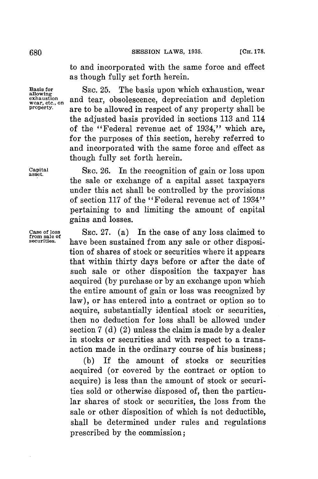to and incorporated with the same force and effect as though fully set forth herein.

**Basis for SEc. 25.** The basis upon which exhaustion, wear **allowing exhaustion** and tear, obsolescence, depreciation and depletion **property**. **property.** are to be allowed in respect of any property shall be the adjusted basis provided in sections **113** and 114 of the "Federal revenue act of 1934,"' which are, for the purposes of this section, hereby referred to and incorporated with the same force and effect as though fully set forth herein.

**Capital SEC. 26.** In the recognition of gain or loss upon **asset.** the sale or exchange of a capital asset taxpayers under this act shall be controlled **by** the provisions of section **117** of the "Federal revenue act of 1934" pertaining to and limiting the amount of capital gains and losses.

**Case of loss SEC. 27.** (a) In the case of any loss claimed to **from sale of** have been sustained from any sale or other disposition of shares of stock or securities where it appears that within thirty days before or after the date of such sale or other disposition the taxpayer has acquired **(by** purchase or **by** an exchange upon which the entire amount of gain or loss was recognized **by** law), or has entered into a contract or option so to acquire, substantially identical stock or securities, then no deduction for loss shall be allowed under section **7 (d)** (2) unless the claim is made **by** a dealer in stocks or securities and with respect to a transaction made in the ordinary course of his business;

> **(b) If** the amount of stocks or securities acquired (or covered **by** the contract or option to acquire) is less than the amount of stock or securities sold or otherwise disposed of, then the particular shares of stock or securities, the loss from the sale or other disposition of which is not deductible, shall be determined under rules and regulations prescribed **by** the commission;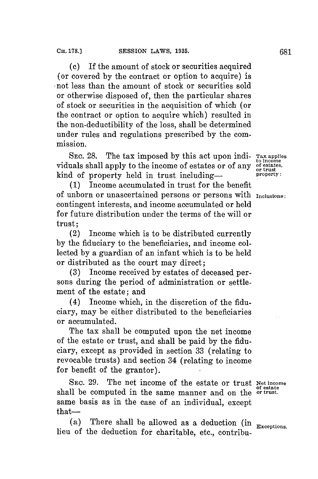**(c)** If the amount of stock or securities acquired (or covered **by** the contract or option to acquire) is not less than the amount of stock or securities sold or otherwise disposed of, then the particular shares of stock or securities in the acquisition of which (or the contract or option to acquire which) resulted in the non-deductibility of the loss, shall be determined under rules and regulations prescribed **by** the commission.

**SEC.** 28. The tax imposed **by** this act upon indi- **Tax applies to income** viduals shall apply to the income of estates or of any **of estates,** kind of property held in trust including- **property**:

**(1)** Income accumulated in trust for the benefit of unborn or unascertained persons or persons with **Inclusions:** contingent interests, and income accumulated or held **for** future distribution under the terms of the will or trust;

(2) Income which is to be distributed currently **by** the fiduciary to the beneficiaries, and income collected **by** a guardian of an infant which is to be held or distributed as the court may direct;

**(3)** Income received **by** estates of deceased persons during the period of administration or settlement of the estate; and

(4) Income which, in the discretion of the fiduciary, may be either distributed to the beneficiaries or accumulated.

The tax shall be computed upon the net income of the estate or trust, and shall be paid **by** the fiduciary, except as provided in section **33** (relating to revocable trusts) and section 34 (relating to income for benefit of the grantor).

SEc. **29.** The net income of the estate or trust **Net income** shall be computed in the same manner and on the **or trust**. same basis as in the case of an individual, except  $that$ — $-$ 

(a) There shall be allowed as a deduction (in **Exceptions.** lieu of the deduction for charitable, etc., contribu-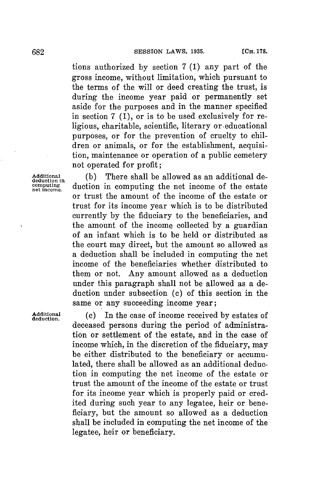tions authorized **by** section **7 (1)** any part of the gross income, without limitation, which pursuant to the terms of the will or deed creating the trust, is during the income year paid or permanently set aside for the purposes and in the manner specified in section **7 (1),** or is to be used exclusively for religious, charitable, scientific, literary or-educational purposes, or for the prevention of cruelty to children or animals, or for the establishment, acquisition, maintenance or operation of a public cemetery not operated for profit;

# Additional **(b)** There shall be allowed as an additional de-<br>deduction in computing the net income of the estate computing duction in computing the net income of the estate or trust the amount of the income of the estate or trust for its income year which is to be distributed currently **by** the fiduciary to the beneficiaries, and the amount of the income collected **by** a guardian of an infant which is to be held or distributed as the court may direct, but the amount so allowed as a deduction shall be included in computing the net income of the beneficiaries whether distributed to them or not. Any amount allowed as a deduction under this paragraph shall not be allowed as a deduction under subsection **(c)** of this section in the same or any succeeding income year;

**dditiona** (c) In the case of income received **by** estates of deceased persons during the period of administration or settlement of the estate, and in the case of income which, in the discretion of the fiduciary, may be either distributed to the beneficiary or accumulated, there shall be allowed as an additional deduction in computing the net income of the estate or trust the amount of the income of the estate or trust for its income year which is properly paid or credited during such year to any legatee, heir or beneficiary, but the amount so allowed as a deduction shall be included in computing the net income of the legatee, heir or beneficiary.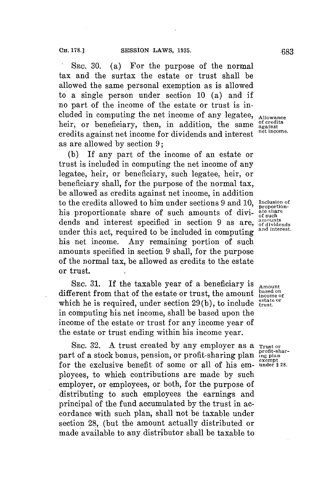**SEc. 30.** (a) For the purpose of the normal tax and the surtax the estate or trust shall be allowed the same personal exemption as is allowed to a single person under section **10** (a) and if no part of the income of the estate or trust is included in computing the net income of any legatee, **Allowance** heir, or beneficiary, then, in addition, the same  $\frac{\text{of credits}}{\text{against method}}$ credits against net income **for** dividends and interest **net income.** as are allowed **by** section **9;**

**(b) If** any part of the income of an estate or trust is included in computing the net income of any legatee, heir, or beneficiary, such legatee, heir, or beneficiary shall, for the purpose of the normal tax, be allowed as credits against net income, in addition to the credits allowed to him under sections **9** and **10, Inclusion of proportion**his proportionate share of such amounts of divi- **ate share** dends and interest specified in section 9 as are, amounts<br>under this est meaning to be included in secure time and interest. under this act, required to be included in computing his net income. Any remaining portion of such amounts specified in section **9** shall, for the purpose of the normal tax, be allowed as credits to the estate or trust.

SEC. 31. If the taxable year of a beneficiary is  $\Delta x = \frac{1}{2}$ different from that of the estate or trust, the amount based on which he is required, under section 29(b), to include trust. in computing his net income, shall be based upon the income of the estate or trust **for** any income year of the estate or trust ending within his income year.

SEC. 32. A trust created by any employer as a **Trust or** part of a stock bonus, pension, or profit-sharing plan **ing plan** for the exclusive benefit of some or all of his em- **under** § 28. ployees, to which contributions are made **by** such employer, or employees, or both, for the purpose of distributing to such employees the earnings and principal of the fund accumulated **by** the trust in accordance with such plan, shall not be taxable under section 28, (but the amount actually distributed or made available to any distributor shall be taxable to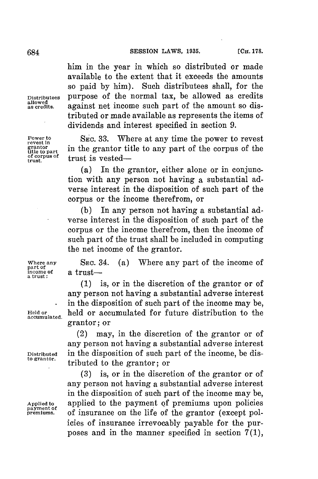him in the year in which so distributed or made available to the extent that it exceeds the amounts so paid **by** him). Such distributees shall, for the **Distributees** purpose of the normal tax, be allowed as credits allowed as credits. **against net income such part of the amount so dis**tributed or made available as represents the items of dividends and interest specified in section **9.**

**Power to SEC. 33. Where at any time the power to revest revest** in the grantor title to any part of the corpus of the **title** to part trust is vested-

> (a) In the grantor, either alone or in conjunction with any person not having a substantial adverse interest in the disposition of such part of the corpus or the income therefrom, or

> **(b)** In any person not having a substantial adverse interest in the disposition of such part of the corpus or the income therefrom, then the income of such part of the trust shall be included in computing the net income of the grantor.

**Where any SEC.** 34. (a) Where any part of the income of

*(1)* is, or in the discretion of the grantor or of any person not having a substantial adverse interest in the disposition of such part of the income may be, **Held or** held or accumulated for future distribution to the **accumulated.** grantor; or

(2) may, in the discretion of the grantor or of any person not having a substantial adverse interest **Distributed** in the disposition of such part of the income, be distributed to the grantor; or

**(3)** is, or in the discretion of the grantor or of any person not having a substantial adverse interest in the disposition of such part of the income may be, **Applied to** applied to the payment **of** premiums upon policies **payment of** of insurance on the life of the grantor (except policies of insurance irrevocably payable for the purposes and in the manner specified in section **7(1),**

**of corpus of**

part of<br>income of **income of** a trust-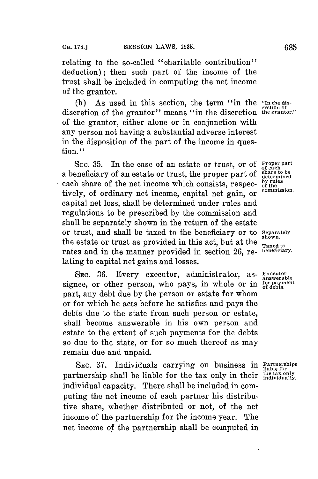relating to the so-called "charitable contribution" deduction); then such part of the income of the trust shall be included in computing the net income of the grantor.

(b) As used in this section, the term "in the "In the discretion of discretion of the grantor" means "in the discretion **the grantor."** of the grantor, either alone or in conjunction with any person not having a substantial adverse interest in the disposition of the part of the income in question."

SEC. 35. In the case of an estate or trust, or of **Proper part** a beneficiary of an estate or trust, the proper part of  $\frac{\text{share to be}}{\text{determined}}$ <br>each share of the net income which consists, respec- $\frac{\text{by rules}}{\text{of the}}}$ each share of the net income which consists, respec-  $\frac{b}{\text{y true}}$  rules tively, of ordinary net income, capital net gain, or capital net loss, shall be determined under rules and regulations to be prescribed **by** the commission and shall be separately shown in the return of the estate or trust, and shall be taxed to the beneficiary or to **Separately** the estate or trust as provided in this act, but at the  $\frac{\text{3.12}}{\text{3.12}}$ rates and in the manner provided in section **26,** re- **beneficiary.** lating to capital net gains and losses.

**SEc. 36.** Every executor, administrator, as- **Executor** signee, or other person, who pays, in whole or in for payn part, any debt due **by** the person or estate for whom or for which he acts before he satisfies and pays the debts due to the state from such person or estate, shall become answerable in his own person and estate to the extent of such payments for the debts so due to the state, or for so much thereof as may remain due and unpaid.

SEC. 37. Individuals carrying on business in Partnerships partnership shall be liable for the tax only in their *individually*. individual capacity. There shall be included in computing the net income of each partner his distributive share, whether distributed or not, of the net income of the partnership for the income year. The net income of the partnership shall be computed in

**answerable**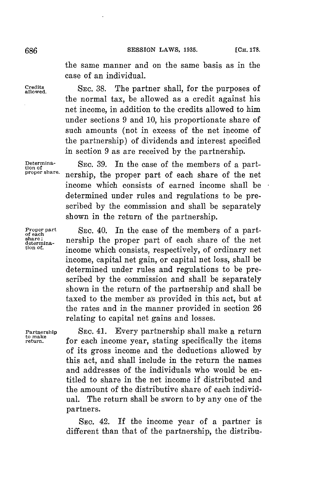the same manner and on the same basis as in the case of an individual.

**Credits** SEc. **38.** The partner shall, for the purposes of the normal tax, be allowed as a credit against his net income, in addition to the credits allowed to him under sections **9** and **10,** his proportionate share of such amounts (not in excess of the net income of the partnership) of dividends and interest specified in section **9** as are received **by** the partnership.

Determina-<br> **EXEC.** SEC. 39. In the case of the members of a part-<br> **proper share**: **porchip** the prepare part of each share of the pat **proper share.** nership, the proper part of each share of the net income which consists of earned income shall be determined under rules and regulations to be prescribed **by** the commission and shall be separately shown in the return of the partnership.

**Proper part** SEC. 40. In the case of the members of a part-<br>of each property is a proper part of each chara of the pat  $\det_{\text{othermina}}$  nership the proper part of each share of the net income which consists, respectively, of ordinary net income, capital net gain, or capital net loss, shall be determined under rules and regulations to be prescribed **by** the commission and shall be separately shown in the return of the partnership and shall be taxed to the member a's provided in this act, but at the rates and in the manner provided in section **26** relating to capital net gains and losses.

Partnership **SEC. 41.** Every partnership shall make a return  $U_{\text{refl}}^{U_{\text{max}}}$  for each income year, stating specifically the items of its gross income and the deductions allowed **by** this act, and shall include in the return the names and addresses of the individuals who would be entitled to share in the net income if distributed and the amount of the distributive share of each individual. The return shall be sworn to **by** any one of the partners.

> SEc. 42. If the income year of a partner is different than that of the partnership, the distribu-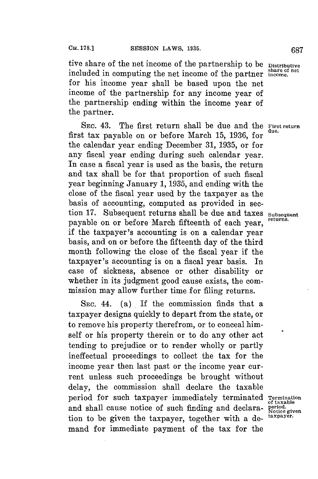tive share of the net income of the partnership to be **Distributive share of net** included in computing the net income of the partner **income.** for his income year shall be based upon the net income of the partnership for any income year of the partnership ending within the income year of the partner.

**SEC.** 43. The first return shall be due and the **First return** first tax payable on or before March 15, 1936, for the calendar year ending December **31, 1935,** or for any fiscal year ending during such calendar year. In case a fiscal year is used as the basis, the return and tax shall be for that proportion of such fiscal year beginning January **1, 1935,** and ending with the close of the fiscal year used **by** the taxpayer as the basis of accounting, computed as provided in section 17. Subsequent returns shall be due and taxes subsequent payable on or before March fifteenth of each year, if the taxpayer's accounting is on a calendar year basis, and on or before the fifteenth day of the third month following the close of the fiscal year if the taxpayer's accounting is on a fiscal year basis. In case of sickness, absence or other disability or whether in its judgment good cause exists, the commission may allow further time **for** filing returns.

**SEC.** 44. (a) If the commission finds that a taxpayer designs quickly to depart from the state, or to remove his property therefrom, or to conceal himself or his property therein or to do any other act tending to prejudice or to render wholly or partly ineffectual proceedings to collect the tax for the income year then last past or the income year current unless such proceedings be brought without delay, the commission shall declare the taxable period for such taxpayer immediately terminated **Termination** and shall cause notice of such finding and declara- **period.** Motice given tion to be given the taxpayer, together with a de- **taxpayer.** mand for immediate payment of the tax for the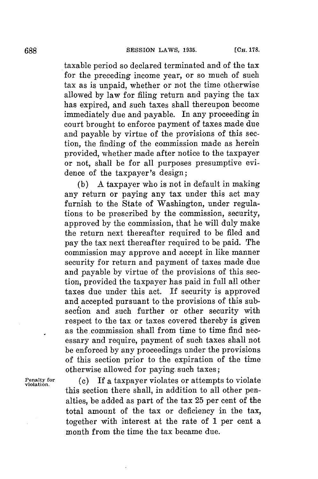taxable period so declared terminated and of the tax for the preceding income year, or so much of such tax as is unpaid, whether or not the time otherwise allowed **by** law for filing return and paying the tax has expired, and such taxes shall thereupon become immediately due and payable. In any proceeding in court brought to enforce payment of taxes made due and payable **by** virtue of the provisions of this section, the finding of the commission made as herein provided, whether made after notice to the taxpayer or not, shall be for all purposes presumptive evidence of the taxpayer's design;

**(b) A** taxpayer who is not in default in making any return or paying any tax under this act may furnish to the State of Washington, under regulations to be prescribed **by** the commission, security, approved **by** the commission, that he will duly make the return next thereafter required to be filed and pay the tax next thereafter required to be paid. The commission may approve and accept in like manner security **for** return and payment of taxes made due and payable **by** virtue of the provisions of this section, provided the taxpayer has paid in full all other taxes due under this act. If security is approved and accepted pursuant to the provisions of this subsection and such further or other security with respect to the tax or taxes covered thereby is given as the commission shall from time to time find necessary and require, payment of such taxes shall not be enforced **by** any proceedings under the provisions of this section prior to the expiration of the time otherwise allowed for paying. such taxes;

**Penalty for (c)** If a taxpayer violates or attempts to violate **violation.** this section there shall, in addition to all other penalties, be added as part of the tax **25** per cent of the total amount of the tax or deficiency in the tax, together with interest at the rate of **1** per cent a month from the time the tax became due.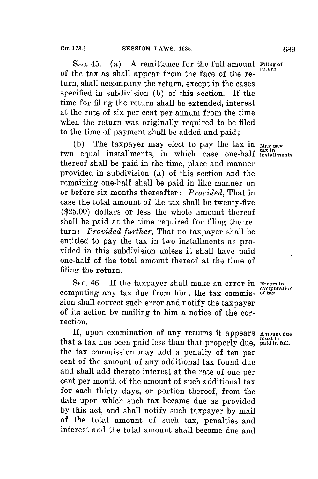**SEC.** 45. (a) **A** remittance for the full amount **Filing of** of the tax as shall appear from the face of the return, shall accompany the return, except in the cases specified in subdivision **(b)** of this section. If the time for filing the return shall be extended, interest at the rate of six per cent per annum from the time when the return was originally required to be filed to the time of payment shall be added and paid;

**(b)** The taxpayer may elect to pay the tax in **May pay** two equal installments, in which case one-half *tax in tax* in thereof shall be paid in the time, place and manner provided in subdivision (a) of this section and the remaining one-half shall be paid in like manner on or before six months thereafter: *Provided,* That in case the total amount of the tax shall be twenty-five **(\$25.00)** dollars or less the whole amount thereof shall be paid at the time required **for** filing the return: *Provided further,* That no taxpayer shall be entitled to pay the tax in two installments as provided in this subdivision unless it shall have paid one-half of the total amount thereof at the time of filing the return.

**SEC.** 46. If the taxpayer shall make an error in **Errors in computation** computing any tax due from him, the tax commis- **of tax.** sion shall correct such error and notify the taxpayer of its action **by** mailing to him a notice of the correction.

If, upon examination of any returns it appears **Amount due** that a tax has been paid less than that properly due, **paid in full**. the tax commission may add a penalty of ten per cent of the amount of any additional tax found due and shall add thereto interest at the rate of one per cent per month of the amount of such additional tax for each thirty days, or portion thereof, from the date upon which such tax became due as provided **by** this act, and shall notify such taxpayer **by** mail of the total amount of such tax, penalties and interest and the total amount shall become due and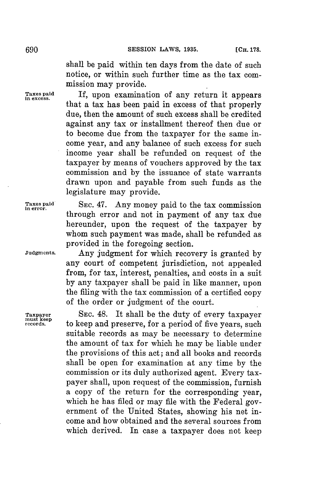shall be paid within ten days from the date of such notice, or within such further time as the tax commission may provide.

Taxes paid If, upon examination of any return it appears that a tax has been paid in excess of that properly due, then the amount of such excess shall be credited against any tax or installment thereof then due or to become due from the taxpayer **for** the same income year, and any balance of such excess for such income year shall be refunded on request of the taxpayer **by** means of vouchers approved **by** the tax commission and **by** the issuance of state warrants drawn upon and payable from such funds as the legislature may provide.

**Taxes paid SEC.** 47. Any money paid to the tax commission **in error.** through error and not in payment of any tax due hereunder, upon the request of the taxpayer **by** whom such payment was made, shall be refunded as provided in the foregoing section.

**Judgments.** Any judgment for which recovery is granted **by** any court of competent jurisdiction, not appealed from, for tax, interest, penalties, and costs in a suit **by** any taxpayer shall be paid in like manner, upon the filing with the tax commission of a certified copy of the order or judgment of the court.

**Taxpayer SEC.** 48. It shall be the duty of every taxpayer **must keep records.** to keep and preserve, **for** a period of five years, such suitable records as may be necessary to determine the amount of tax for which he may be liable under the provisions of this act; and all books and records shall be open for examination at any time **by** the commission or its duly authorized agent. Every taxpayer shall, upon request of the commission, furnish a copy of the return for the corresponding year, which he has filed or may file with the Federal government of the United States, showing his net income and how obtained and the several sources from which derived. In case a taxpayer does not keep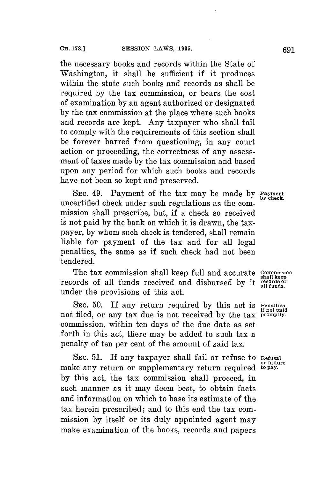the necessary books and records within the State of Washington, it shall be sufficient if it produces within the state such books and records as shall be required **by** the tax commission, or bears the cost of examination **by** an agent authorized or designated **by** the tax commission at the place where such books and records are kept. Any taxpayer who shall fail to comply with the requirements of this section shall be forever barred from questioning, in any court action or proceeding, the correctness of any assessment of taxes made **by** the tax commission and based upon any period for which such books and records have not been so kept and preserved.

SEC. 49. Payment of the tax may be made by Payment **by check.** uncertified check under such regulations as the commission shall prescribe, but, if a check so received is not paid **by** the bank on which it is drawn, the taxpayer, **by** whom such check is tendered, shall remain liable **for** payment of the tax and for all legal penalties, the same as if such check had not been tendered.

The tax commission shall keep full and accurate **Commission** shall keep records of all funds received and disbursed **by** it **rrdsof** under the provisions of this act.

**SEC. 50.** If any return required **by** this act is **Penalties** not filed, or any tax due is not received **by** the tax **promptly.** commission, within ten days of the due date as set forth in this act, there may be added to such tax a penalty of ten per cent of the amount of said tax.

**SEC. 51. If** any taxpayer shall fail or refuse to **Refusal** make any return or supplementary return required to pay. **by** this act, the tax commission shall proceed, in such manner as it may deem best, to obtain facts and information on which to base its estimate of the tax herein prescribed; and to this end the tax commission **by** itself or its duly appointed agent may make examination of the books, records and papers

**if not paid**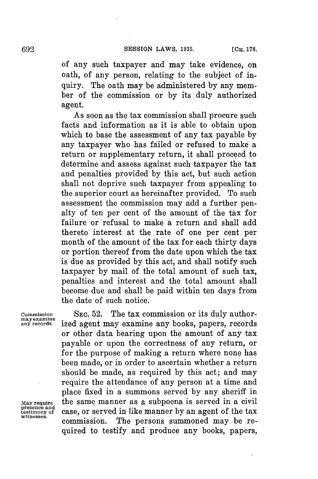of any such taxpayer and may take evidence, on oath, of any person, relating to the subject of inquiry. The oath may be administered **by** any member of the commission or **by** its duly authorized agent.

As soon as the tax commission shall procure such facts and information as it is able to obtain upon which to base the assessment of any tax payable **by** any taxpayer who has failed or refused to make a return or supplementary return, it shall proceed to determine and assess against such taxpayer the tax and penalties provided **by** this act, but such action shall not deprive such taxpayer from appealing to the superior court as hereinafter provided. To such assessment the commission may add a further penalty of ten per cent of the amount of the tax for failure or refusal to make a return and shall add thereto interest at the rate of one per cent per month of the amount of the tax **for** each thirty days or portion thereof from the date upon which the tax is due as provided **by** this act, and shall notify such taxpayer **by** mail of the total amount of such tax, penalties and interest and the total amount shall become due and shall be paid within ten days from the date of such notice.

**presence and**

**Commission** SEc. **52.** The tax commission or its duly author- mayexammne **.. any records.** ized agent may examine any books, papers, records or other data bearing upon the amount of any tax payable or upon the correctness of any return, or for the purpose of making a return where none has been made, or in order to ascertain whether a return should be made, as required **by** this act; and may require the attendance of any person at a time and place fixed in a summons served **by** any sheriff in **May require** the same manner as a subpoena is served in a civil presence and<br>testimony of **case**, or served in like manner by an agent of the tax commission. The persons summoned may be required to testify and produce any books, papers,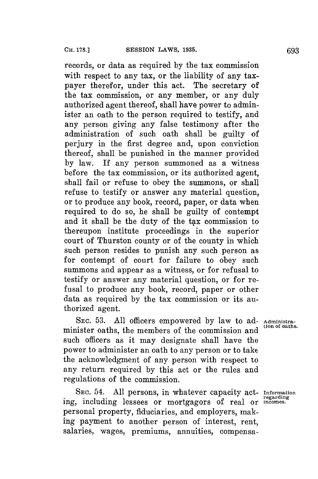records, or data as required **by** the tax commission with respect to any tax, or the liability of any taxpayer therefor, under this act. The secretary of the tax commission, or any member, or any duly authorized agent thereof, shall have power to administer an oath to the person required to testify, and any person giving any false testimony after the administration of such oath shall be guilty of perjury in the first degree and, upon conviction thereof, shall be punished in the manner provided **by** law. If any person summoned as a witness before the tax commission, or its authorized agent, shall fail or refuse to obey the summons, or shall refuse to testify or answer any material question, or to produce any book, record, paper, or data when required to do so, he shall be guilty of contempt and it shall be the duty of the tax commission to thereupon institute proceedings in the superior court of Thurston county or of the county in which such person resides to punish any such person as for contempt of court for failure to obey such summons and appear as a witness, or for refusal to testify or answer any material question, or for refusal to produce any book, record, paper or other data as required **by** the tax commission or its authorized agent.

SEc. **53. All** officers empowered **by** law to ad- **Administra**minister oaths, the members of the commission and such officers as it may designate shall have the power to administer an oath to any person or to take the acknowledgment of any person with respect to any return required **by** this act or the rules and regulations of the commission.

SEC. 54. All persons, in whatever capacity act- **Information** ing, including lessees or mortgagors of real or **incomes**. personal property, fiduciaries, and employers, making payment to another person of interest, rent, salaries, wages, premiums, annuities, compensa-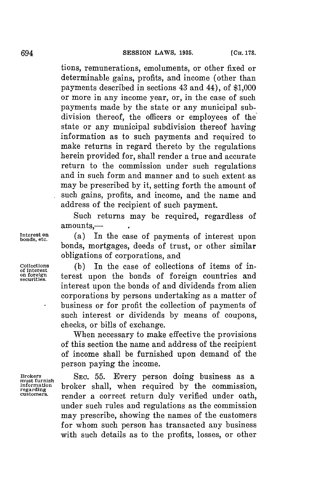tions, remunerations, emoluments, or other fixed or determinable gains, profits, and income (other than payments described in sections 43 and 44), of **\$1,000** or more in any income year, or, in the case of such payments made **by** the state or any municipal subdivision thereof, the officers or employees of the state or any municipal subdivision thereof having information as to such payments and required to make returns in regard thereto **by** the regulations herein provided for, shall render a true and accurate return to the commission under such regulations and in such form and manner and to such extent as may be prescribed **by** it, setting forth the amount of such gains, profits, and income, and the name and address of the recipient of such payment.

Such returns may be required, regardless of  $amounts. -$ 

(a) In the case of payments of interest upon bonds, mortgages, deeds of trust, or other similar obligations of corporations, and

Collections (b) In the case of collections of items of in**of interest on foreign** terest upon the bonds of foreign countries and **securities.** interest upon the bonds of and dividends from alien corporations **by** persons undertaking as a matter of business or for profit the collection of payments of such interest or dividends **by** means of coupons, checks, or bills of exchange.

> When necessary to make effective the provisions of this section the name and address of the recipient of income shall be furnished upon demand of the person paying the income.

Brokers SEC. 55. Every person doing business as a information **broker** shall, when required by the commission, regarding **compared** and **commission** customers. render a correct return duly verified under oath, under such rules and regulations as the commission may prescribe, showing the names of the customers for whom such person has transacted any business with such details as to the profits, losses, or other

**Interest bonds, etc.**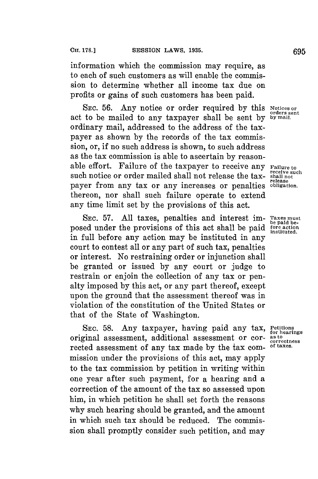information which the commission may require, as to each of such customers as will enable the commission to determine whether all income tax due on profits or gains of such customers has been paid.

SEC. 56. Any notice or order required by this Notices or act to be mailed to any taxpayer shall be sent **by by mail.** ordinary mail, addressed to the address of the taxpayer as shown **by** the records of the tax commission, or, if no such address is shown, to such address as the tax commission is able to ascertain **by** reasonable effort. Failure of the taxpayer to receive any **Failure to**<br>such notice or order mailed shall not release the tax-shall not such notice or order mailed shall not release the taxpayer from any tax or any increases or penalties thereon, nor shall such failure operate to extend any time limit set **by** the provisions of this act.

**SEC. 57. All** taxes, penalties and interest im- **Taxes must** posed under the provisions of this act shall be paid in full before any action may be instituted in any court to contest all or any part of such tax, penalties or interest. No restraining order or injunction shall be granted or issued **by** any court or judge to restrain or enjoin the collection of any tax or penalty imposed **by** this act, or any part thereof, except upon the ground that the assessment thereof was in violation of the constitution of the United States or that of the State of Washington.

SEC. 58. Any taxpayer, having paid any tax, Petitions **for the formulations**  $\frac{1}{2}$  and  $\frac{1}{2}$  and  $\frac{1}{2}$ original assessment, additional assessment or cor- astoteness rected assessment of any tax made **by** the tax com- **of taxes.** mission under the provisions of this act, may apply to the tax commission **by** petition in writing within one year after such payment, for a hearing and a correction of the amount of the tax so assessed upon him, in which petition he shall set forth the reasons why such hearing should be granted, and the amount in which such tax should be reduced. The commission shall promptly consider such petition, and may

**release**

fore action<br>instituted.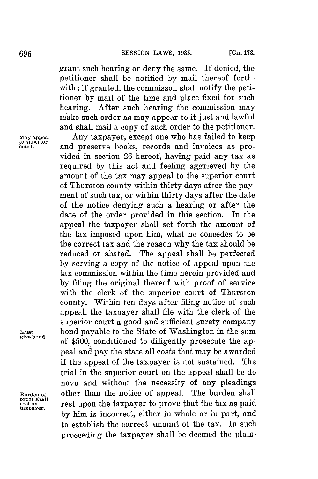grant such hearing or deny the same. If denied, the petitioner shall be notified **by** mail thereof forthwith; if granted, the commisson shall notify the petitioner **by** mail of the time and place fixed for such hearing. After such hearing the commission may make such order as may appear to it just and lawful and shall mail a copy of such order to the petitioner.

**May appeal** Any taxpayer, except one who has failed to keep **to superior court.** and preserve books, records and invoices as provided in section **26** hereof, having paid any tax as required **by** this act and feeling aggrieved **by** the amount of the tax may appeal to the superior court of Thurston county within thirty days after the payment of such tax, or within thirty days after the date of the notice denying such a hearing or after the date of the order provided in this section. In the appeal the taxpayer shall set forth the amount of the tax imposed upon him, what he concedes to be the correct tax and the reason why the tax should be reduced or abated. The appeal shall be perfected **by** serving a copy of the notice of appeal upon the tax commission within the time herein provided and **by** filing the original thereof with proof of service with the clerk of the superior court of Thurston county. Within ten days after filing notice of such appeal, the taxpayer shall file with the clerk of the superior court a good and sufficient surety company Must **bond payable to the State of Washington in the sum give bond,** of **\$500,** conditioned to diligently prosecute the appeal and pay the state all costs that may be awarded if the appeal of the taxpayer is not sustained. The trial in the superior court on the appeal shall be de novo and without the necessity of any pleadings **Burden** *of* other than the notice of appeal. The burden shall proof shall<br>rest on **rest upon the taxpayer to prove that the tax as paid**<br>taxpayer. **by** him is incorrect, either in whole or in part, and to establish the correct amount of the tax. In such proceeding the taxpayer shall be deemed the plain-

 $\ddot{\phantom{a}}$ 

**proof shall**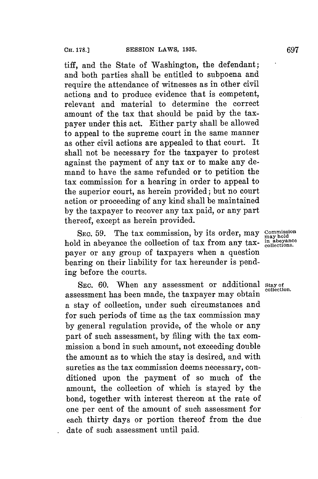tiff, and the State of Washington, the defendant; and both parties shall be entitled to subpoena and require the attendance of witnesses as in other civil actions and to produce evidence that is competent, relevant and material to determine the correct amount of the tax that should be paid **by** the taxpayer under this act. Either party shall be allowed to appeal to the supreme court in the same manner as other civil actions are appealed to that court. It shall not be necessary for the taxpayer to protest against the payment of any tax or to make any demand to have the same refunded or to petition the tax commission for a hearing in order to appeal to the superior court, as herein provided; but no court action or proceeding of any kind shall be maintained **by** the taxpayer to recover any tax paid, or any part thereof, except as herein provided.

SEC. 59. The tax commission, by its order, may commission hold in abeyance the collection of tax from any tax- **in abeyance** the collection of tax from any tax- **in abeyance** payer or any group of taxpayers when a question bearing on their liability for tax hereunder is pending before the courts.

SEC. 60. When any assessment or additional stay of assessment has been made, the taxpayer may obtain a stay of collection, under such circumstances and for such periods of time as the tax commission may **by** general regulation provide, of the whole or any part of such assessment, **by** filing with the tax commission a bond in such amount, not exceeding double the amount as to which the stay is desired, and with sureties as the tax commission deems necessary, conditioned upon the payment of so much of the amount, the collection of which is stayed **by** the bond, together with interest thereon at the rate of one per cent of the amount of such assessment for each thirty days or portion thereof from the due date of such assessment until paid.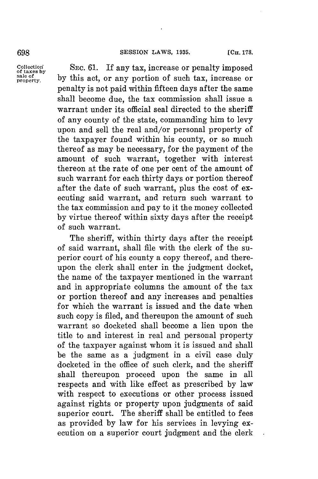## **698 SESSION LAWS, 1935. ICH. 178.**

Collection SEC. 61. If any tax, increase or penalty imposed<br>
sale of taxes by **by** this act or any portion of such tax increase or sale of by this act, or any portion of such tax, increase or penalty is not paid within fifteen days after the same shall become due, the tax commission shall issue a warrant under its official seal directed to the sheriff of any county of the state, commanding him to levy upon and sell the real and/or personal property of the taxpayer found within his county, or so much thereof as may be necessary, for the payment of the amount of such warrant, together with interest thereon at the rate of one per cent of the amount of such warrant for each thirty days or portion thereof after the date of such warrant, plus the cost of executing said warrant, and return such warrant to the tax commission and pay to it the money collected **by** virtue thereof within sixty days after the receipt of such warrant.

> The sheriff, within thirty days after the receipt of said warrant, shall file with the clerk of the superior court of his county a copy thereof, and thereupon the clerk shall enter in the judgment docket, the name of the taxpayer mentioned in the warrant and in appropriate columns the amount of the tax or portion thereof and any increases and penalties **for** which the warrant is issued and the date when such copy is filed, and thereupon the amount of such warrant so docketed shall become a lien upon the title to and interest in real and personal property of the taxpayer against whom it is issued and shall be the same as a judgment in a civil case duly docketed in the office of such clerk, and the sheriff shall thereupon proceed upon the same in all respects and with like effect as prescribed **by** law with respect to executions or other process issued against rights or property upon judgments of said superior court. The sheriff shall be entitled to fees as provided **by** law for his services in levying execution on a superior court judgment and the clerk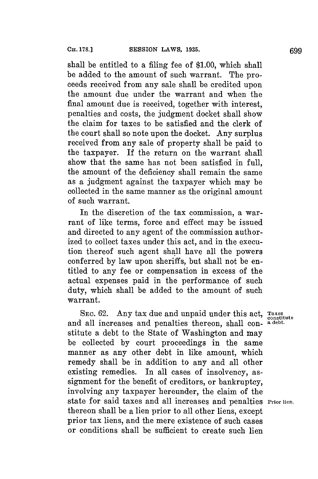shall be entitled to a filing fee of **\$1.00,** which shall be added to the amount of such warrant. The proceeds received from any sale shall be credited upon the amount due under the warrant and when the final amount due is received, together with interest, penalties and costs, the judgment docket shall show the claim for taxes to be satisfied and the clerk of the court shall so note upon the docket. Any surplus received from any sale of property shall be paid to the taxpayer. If the return on the warrant shall show that the same has not been satisfied in full, the amount of the deficiency shall remain the same as a judgment against the taxpayer which may be collected in the same manner as the original amount of such warrant.

In the discretion of the tax commission, a warrant of like terms, force and effect may be issued and directed to any agent of the commission authorized to collect taxes under this act, and in the execution thereof such agent shall have all the powers conferred **by** law upon sheriffs, but shall not be entitled to any fee or compensation in excess of the actual expenses paid in the performance of such duty, which shall be added to the amount of such warrant.

SEC. 62. Any tax due and unpaid under this act, Taxes and all increases and penalties thereon, shall con-  $a$  debt. stitute a debt to the State of Washington and may be collected **by** court proceedings in the same manner as any other debt in like amount, which remedy shall be in addition to any and all other existing remedies. In all cases of insolvency, assignment for the benefit of creditors, or bankruptcy, involving any taxpayer hereunder, the claim of the state for said taxes and all increases and penalties **Prior lien.** thereon shall be a lien prior to all other liens, except prior tax liens, and the mere existence of such cases or conditions shall be sufficient to create such lien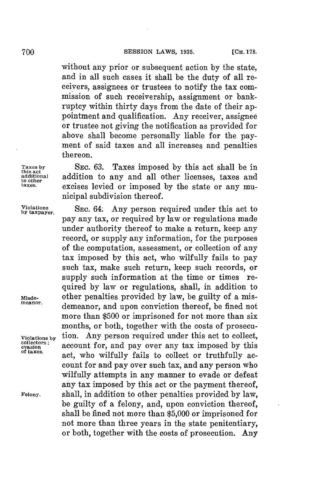without any prior or subsequent action **by** the state, and in all such cases it shall be the duty of all receivers, assignees or trustees to notify the tax commission of such receivership, assignment or bankruptcy within thirty days from the date of their appointment and qualification. Any receiver, assignee or trustee not giving the notification as provided **for** above shall become personally liable for the payment of said taxes and all increases and penalties thereon.

**Taxes by SEC. 63.** Taxes imposed **by** this act shall be in **this act** and additional addition to any and all other licenses, taxes and the other content of the state of any munitives. excises levied or imposed by the state or any municipal subdivision thereof.

**SEC.** 64. Any person required under this act to pay any tax, or required **by** law or regulations made under authority thereof to make a return, keep any record, or supply any information, for the purposes of the computation, assessment, or collection of any tax imposed **by** this act, who wilfully fails to pay such tax, make such return, keep such records, or supply such information at the time or times required by law or regulations, shall, in addition to other penalties provided by law, be guilty of a mis-**Msde-** other penalties provided **by** law, be guilty of a mis- **meanor.** demeanor, and upon conviction thereof, be fined not more than **\$500** or imprisoned for not more than six months, or both, together with the costs of prosecu-Violations by **tion.** Any person required under this act to collect, collectors; account for, and pay over any tax imposed by this evasion **account for, and pay over any tax imposed by this**<br>evasion **account for, and pay over any tax imposed by this** act, who wilfully fails to collect or truthfully account **for** and pay over such tax, and any person who wilfully attempts in any manner to evade or defeat any tax imposed **by** this act or the payment thereof, **Felony.** shall, in addition to other penalties provided **by** law, be guilty of a felony, and, upon conviction thereof, shall be fined not more than **\$5,000** or imprisoned **for** not more than three years in the state penitentiary, or both, together with the costs of prosecution. Any

**Violations by taxpayer.**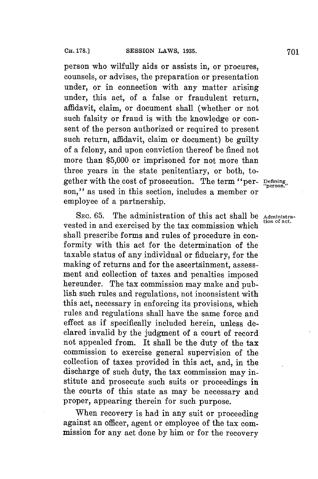person who wilfully aids or assists in, or procures, counsels, or advises, the preparation or presentation under, or in connection with any matter arising under, this act, of a false or fraudulent return, affidavit, claim, or document shall (whether or not such falsity or fraud is with the knowledge or consent of the person authorized or required to present such return, affidavit, claim or document) be guilty of a felony, and upon conviction thereof be fined not more than **\$5,000** or imprisoned for not more than three years in the state penitentiary, or both, together with the cost of prosecution. The term "per- **pefning,** son," as used in this section, includes a member or employee of a partnership.

SEC. 65. The administration of this act shall be **Administration** vested in and exercised by the tax commission which shall prescribe forms and rules of procedure in conformity with this act for the determination of the taxable status of any individual or fiduciary, **for** the making of returns and **for** the ascertainment, assessment and collection of taxes and penalties imposed hereunder. The tax commission may make and publish such rules and regulations, not inconsistent with this act, necessary in enforcing its provisions, which rules and regulations shall have the same force and effect as if specifically included herein, unless declared invalid **by** the judgment of a court of record not appealed from. It shall be the duty of the tax commission to exercise general supervision of the collection of taxes provided in this act, and, in the discharge of such duty, the tax commission may institute and prosecute such suits or proceedings in the courts of this state as may be necessary and proper, appearing therein for such purpose.

When recovery is had in any suit or proceeding against an officer, agent or employee of the tax commission for any act done **by** him or for the recovery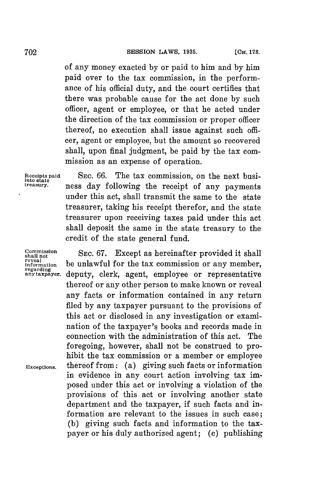of any money exacted **by** or paid to him and **by** him paid over to the tax commission, in the performance of his official duty, and the court certifies that there was probable cause for the act done **by** such officer, agent or employee, or that he acted under the direction of the tax commission or proper officer thereof, no execution shall issue against such officer, agent or employee, but the amount so recovered shall, upon final judgment, be paid **by** the tax commission as an expense of operation.

Receipts paid SEC. 66. The tax commission, on the next busi-<br>
into state<br> *iteasury*, ness day following the receipt of any nayments ness day following the receipt of any payments under this act, shall transmit the same to the state treasurer, taking his receipt therefor, and the state treasurer upon receiving taxes paid under this act shall deposit the same in the state treasury to the credit of the state general fund.

**reveal**<br>reveal<br>information

**Commission** SEC. 67. Except as hereinafter provided it shall reveal information be unlawful for the tax commission or any member, regarding<br>regarding<br>anytaxpayer, denuty, clerk, agent, employee or representative deputy, clerk, agent, employee or representative thereof or any other person to make known or reveal any facts or information contained in any return filed **by** any taxpayer pursuant to the provisions of this act or disclosed in any investigation or examination of the taxpayer's books and records made in connection with the administration of this act. The foregoing, however, shall not be construed to prohibit the tax commission or a member or employee **Exceptions.** thereof from: (a) giving such facts or information in evidence in any court action involving tax imposed under this act or involving a violation of the provisions of this act or involving another state department and the taxpayer, if such facts and information are relevant to the issues in such case; **(b)** giving such facts and information to the taxpayer or his duly authorized agent; (c) publishing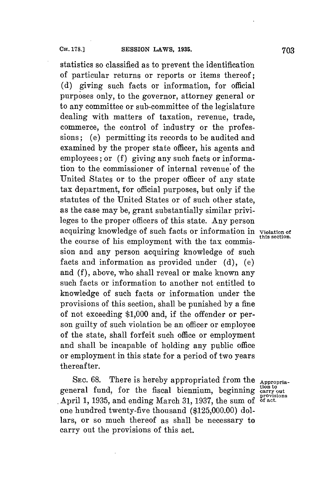statistics so classified as to prevent the identification of particular returns or reports or items thereof; **(d)** giving such facts or information, for official purposes only, to the governor, attorney general or to any committee or sub-committee of the legislature dealing with matters of taxation, revenue, trade, commerce, the control of industry or the professions; (e) permitting its records to be audited and examined **by** the proper state officer, his agents and employees; or **(f)** giving any such facts or information to the commissioner of internal revenue of the United States or to the proper officer of any state tax department, for official purposes, but only if the statutes of the United States or of such other state, as the case may be, grant substantially similar privileges to the proper officers of this state. Any person acquiring knowledge of such facts or information in **violation of** the course of his employment with the tax commission and any person acquiring knowledge of such facts and information as provided under **(d),** (e) and **(f),** above, who shall reveal or make known any such facts or information to another not entitled to knowledge of such facts or information under the provisions of this section, shall be punished **by** a fine of not exceeding **\$1,000** and, if the offender or person guilty of such violation be an officer or employee of the state, shall forfeit such office or employment and shall be incapable of holding any public office or employment in this state **for** a period of two years thereafter.

SEC. 68. There is hereby appropriated from the **Appropriation to** general fund, **for** the fiscal biennium, beginning **carry out provisions** April **1, 1935,** and ending March **31, 1937,** the sum of **of act.** one hundred twenty-five thousand **(\$125,000.00)** dollars, or so much thereof as shall be necessary to carry out the provisions of this act.